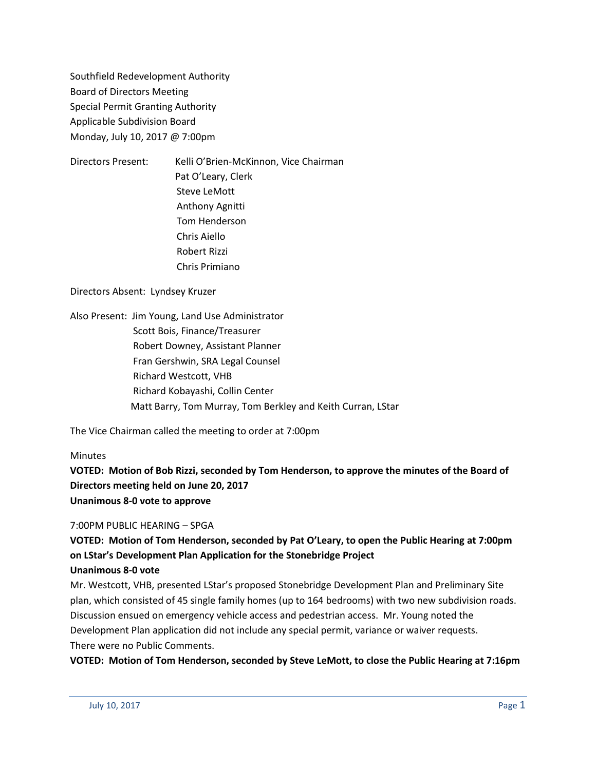Southfield Redevelopment Authority Board of Directors Meeting Special Permit Granting Authority Applicable Subdivision Board Monday, July 10, 2017 @ 7:00pm

Directors Present: Kelli O'Brien-McKinnon, Vice Chairman Pat O'Leary, Clerk Steve LeMott Anthony Agnitti Tom Henderson Chris Aiello Robert Rizzi Chris Primiano

Directors Absent: Lyndsey Kruzer

Also Present: Jim Young, Land Use Administrator Scott Bois, Finance/Treasurer Robert Downey, Assistant Planner Fran Gershwin, SRA Legal Counsel Richard Westcott, VHB Richard Kobayashi, Collin Center Matt Barry, Tom Murray, Tom Berkley and Keith Curran, LStar

The Vice Chairman called the meeting to order at 7:00pm

## **Minutes**

**VOTED: Motion of Bob Rizzi, seconded by Tom Henderson, to approve the minutes of the Board of Directors meeting held on June 20, 2017 Unanimous 8-0 vote to approve**

## 7:00PM PUBLIC HEARING – SPGA

## **VOTED: Motion of Tom Henderson, seconded by Pat O'Leary, to open the Public Hearing at 7:00pm on LStar's Development Plan Application for the Stonebridge Project**

#### **Unanimous 8-0 vote**

Mr. Westcott, VHB, presented LStar's proposed Stonebridge Development Plan and Preliminary Site plan, which consisted of 45 single family homes (up to 164 bedrooms) with two new subdivision roads. Discussion ensued on emergency vehicle access and pedestrian access. Mr. Young noted the Development Plan application did not include any special permit, variance or waiver requests. There were no Public Comments.

**VOTED: Motion of Tom Henderson, seconded by Steve LeMott, to close the Public Hearing at 7:16pm**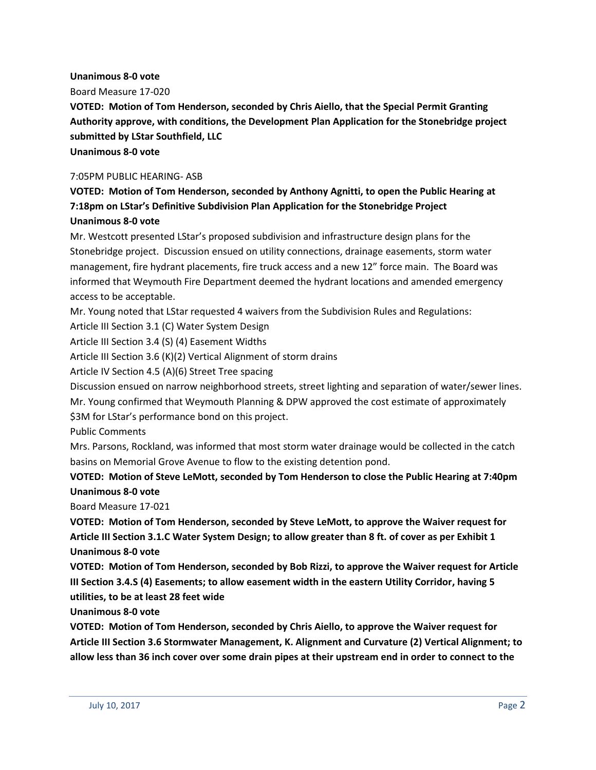#### **Unanimous 8-0 vote**

Board Measure 17-020

**VOTED: Motion of Tom Henderson, seconded by Chris Aiello, that the Special Permit Granting Authority approve, with conditions, the Development Plan Application for the Stonebridge project submitted by LStar Southfield, LLC**

**Unanimous 8-0 vote**

#### 7:05PM PUBLIC HEARING- ASB

## **VOTED: Motion of Tom Henderson, seconded by Anthony Agnitti, to open the Public Hearing at 7:18pm on LStar's Definitive Subdivision Plan Application for the Stonebridge Project Unanimous 8-0 vote**

Mr. Westcott presented LStar's proposed subdivision and infrastructure design plans for the Stonebridge project. Discussion ensued on utility connections, drainage easements, storm water management, fire hydrant placements, fire truck access and a new 12" force main. The Board was informed that Weymouth Fire Department deemed the hydrant locations and amended emergency access to be acceptable.

Mr. Young noted that LStar requested 4 waivers from the Subdivision Rules and Regulations:

Article III Section 3.1 (C) Water System Design

Article III Section 3.4 (S) (4) Easement Widths

Article III Section 3.6 (K)(2) Vertical Alignment of storm drains

Article IV Section 4.5 (A)(6) Street Tree spacing

Discussion ensued on narrow neighborhood streets, street lighting and separation of water/sewer lines. Mr. Young confirmed that Weymouth Planning & DPW approved the cost estimate of approximately \$3M for LStar's performance bond on this project.

Public Comments

Mrs. Parsons, Rockland, was informed that most storm water drainage would be collected in the catch basins on Memorial Grove Avenue to flow to the existing detention pond.

## **VOTED: Motion of Steve LeMott, seconded by Tom Henderson to close the Public Hearing at 7:40pm Unanimous 8-0 vote**

Board Measure 17-021

**VOTED: Motion of Tom Henderson, seconded by Steve LeMott, to approve the Waiver request for Article III Section 3.1.C Water System Design; to allow greater than 8 ft. of cover as per Exhibit 1 Unanimous 8-0 vote**

**VOTED: Motion of Tom Henderson, seconded by Bob Rizzi, to approve the Waiver request for Article III Section 3.4.S (4) Easements; to allow easement width in the eastern Utility Corridor, having 5 utilities, to be at least 28 feet wide**

**Unanimous 8-0 vote**

**VOTED: Motion of Tom Henderson, seconded by Chris Aiello, to approve the Waiver request for Article III Section 3.6 Stormwater Management, K. Alignment and Curvature (2) Vertical Alignment; to allow less than 36 inch cover over some drain pipes at their upstream end in order to connect to the**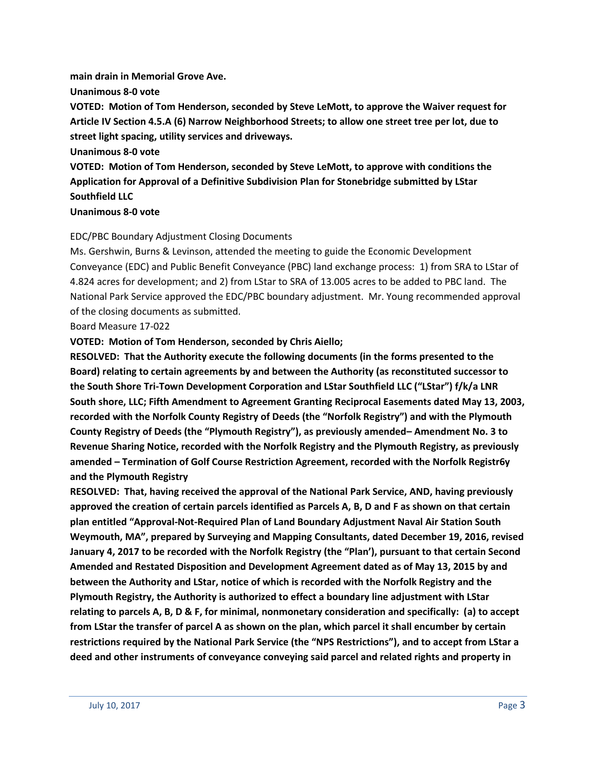# **main drain in Memorial Grove Ave.**

**Unanimous 8-0 vote**

**VOTED: Motion of Tom Henderson, seconded by Steve LeMott, to approve the Waiver request for Article IV Section 4.5.A (6) Narrow Neighborhood Streets; to allow one street tree per lot, due to street light spacing, utility services and driveways.**

**Unanimous 8-0 vote**

**VOTED: Motion of Tom Henderson, seconded by Steve LeMott, to approve with conditions the Application for Approval of a Definitive Subdivision Plan for Stonebridge submitted by LStar Southfield LLC** 

## **Unanimous 8-0 vote**

## EDC/PBC Boundary Adjustment Closing Documents

Ms. Gershwin, Burns & Levinson, attended the meeting to guide the Economic Development Conveyance (EDC) and Public Benefit Conveyance (PBC) land exchange process: 1) from SRA to LStar of 4.824 acres for development; and 2) from LStar to SRA of 13.005 acres to be added to PBC land. The National Park Service approved the EDC/PBC boundary adjustment. Mr. Young recommended approval of the closing documents as submitted.

Board Measure 17-022

**VOTED: Motion of Tom Henderson, seconded by Chris Aiello;**

**RESOLVED: That the Authority execute the following documents (in the forms presented to the Board) relating to certain agreements by and between the Authority (as reconstituted successor to the South Shore Tri-Town Development Corporation and LStar Southfield LLC ("LStar") f/k/a LNR South shore, LLC; Fifth Amendment to Agreement Granting Reciprocal Easements dated May 13, 2003, recorded with the Norfolk County Registry of Deeds (the "Norfolk Registry") and with the Plymouth County Registry of Deeds (the "Plymouth Registry"), as previously amended– Amendment No. 3 to Revenue Sharing Notice, recorded with the Norfolk Registry and the Plymouth Registry, as previously amended – Termination of Golf Course Restriction Agreement, recorded with the Norfolk Registr6y and the Plymouth Registry**

**RESOLVED: That, having received the approval of the National Park Service, AND, having previously approved the creation of certain parcels identified as Parcels A, B, D and F as shown on that certain plan entitled "Approval-Not-Required Plan of Land Boundary Adjustment Naval Air Station South Weymouth, MA", prepared by Surveying and Mapping Consultants, dated December 19, 2016, revised January 4, 2017 to be recorded with the Norfolk Registry (the "Plan'), pursuant to that certain Second Amended and Restated Disposition and Development Agreement dated as of May 13, 2015 by and between the Authority and LStar, notice of which is recorded with the Norfolk Registry and the Plymouth Registry, the Authority is authorized to effect a boundary line adjustment with LStar relating to parcels A, B, D & F, for minimal, nonmonetary consideration and specifically: (a) to accept from LStar the transfer of parcel A as shown on the plan, which parcel it shall encumber by certain restrictions required by the National Park Service (the "NPS Restrictions"), and to accept from LStar a deed and other instruments of conveyance conveying said parcel and related rights and property in**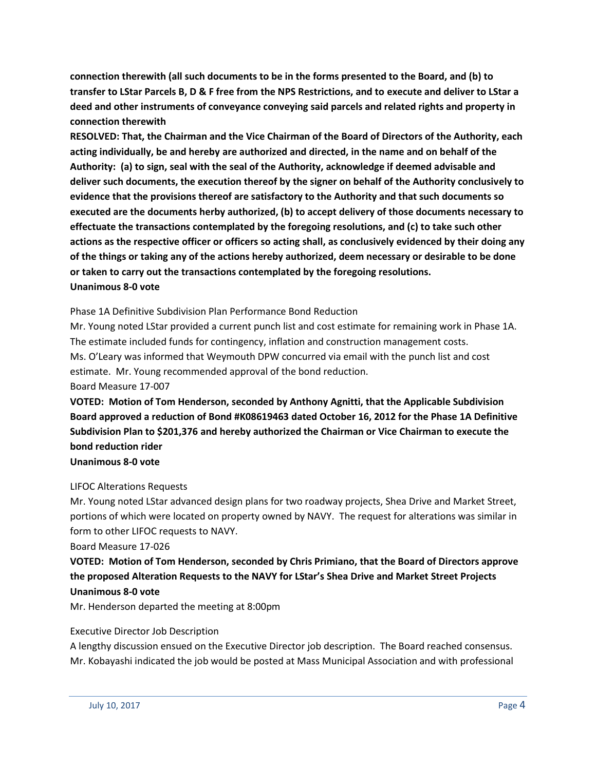**connection therewith (all such documents to be in the forms presented to the Board, and (b) to transfer to LStar Parcels B, D & F free from the NPS Restrictions, and to execute and deliver to LStar a deed and other instruments of conveyance conveying said parcels and related rights and property in connection therewith**

**RESOLVED: That, the Chairman and the Vice Chairman of the Board of Directors of the Authority, each acting individually, be and hereby are authorized and directed, in the name and on behalf of the Authority: (a) to sign, seal with the seal of the Authority, acknowledge if deemed advisable and deliver such documents, the execution thereof by the signer on behalf of the Authority conclusively to evidence that the provisions thereof are satisfactory to the Authority and that such documents so executed are the documents herby authorized, (b) to accept delivery of those documents necessary to effectuate the transactions contemplated by the foregoing resolutions, and (c) to take such other actions as the respective officer or officers so acting shall, as conclusively evidenced by their doing any of the things or taking any of the actions hereby authorized, deem necessary or desirable to be done or taken to carry out the transactions contemplated by the foregoing resolutions. Unanimous 8-0 vote**

Phase 1A Definitive Subdivision Plan Performance Bond Reduction

Mr. Young noted LStar provided a current punch list and cost estimate for remaining work in Phase 1A. The estimate included funds for contingency, inflation and construction management costs. Ms. O'Leary was informed that Weymouth DPW concurred via email with the punch list and cost estimate. Mr. Young recommended approval of the bond reduction. Board Measure 17-007

**VOTED: Motion of Tom Henderson, seconded by Anthony Agnitti, that the Applicable Subdivision Board approved a reduction of Bond #K08619463 dated October 16, 2012 for the Phase 1A Definitive Subdivision Plan to \$201,376 and hereby authorized the Chairman or Vice Chairman to execute the bond reduction rider**

**Unanimous 8-0 vote**

## LIFOC Alterations Requests

Mr. Young noted LStar advanced design plans for two roadway projects, Shea Drive and Market Street, portions of which were located on property owned by NAVY. The request for alterations was similar in form to other LIFOC requests to NAVY.

Board Measure 17-026

**VOTED: Motion of Tom Henderson, seconded by Chris Primiano, that the Board of Directors approve the proposed Alteration Requests to the NAVY for LStar's Shea Drive and Market Street Projects Unanimous 8-0 vote**

Mr. Henderson departed the meeting at 8:00pm

#### Executive Director Job Description

A lengthy discussion ensued on the Executive Director job description. The Board reached consensus. Mr. Kobayashi indicated the job would be posted at Mass Municipal Association and with professional